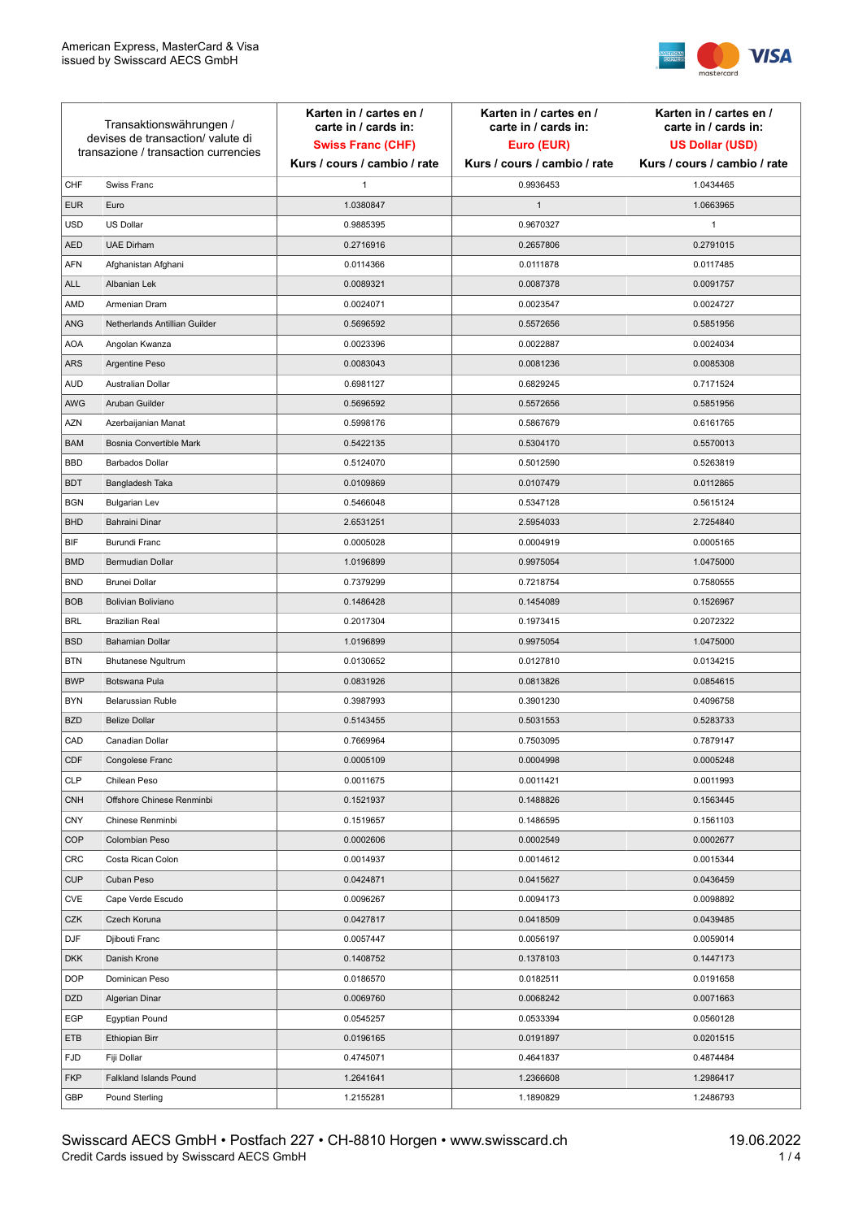

| Transaktionswährungen /<br>devises de transaction/valute di<br>transazione / transaction currencies |                               | Karten in / cartes en /<br>carte in / cards in:<br><b>Swiss Franc (CHF)</b> | Karten in / cartes en /<br>carte in / cards in:<br>Euro (EUR) | Karten in / cartes en /<br>carte in / cards in:<br><b>US Dollar (USD)</b> |
|-----------------------------------------------------------------------------------------------------|-------------------------------|-----------------------------------------------------------------------------|---------------------------------------------------------------|---------------------------------------------------------------------------|
|                                                                                                     |                               | Kurs / cours / cambio / rate                                                | Kurs / cours / cambio / rate                                  | Kurs / cours / cambio / rate                                              |
| CHF                                                                                                 | Swiss Franc                   | 1                                                                           | 0.9936453                                                     | 1.0434465                                                                 |
| <b>EUR</b>                                                                                          | Euro                          | 1.0380847                                                                   | $\mathbf{1}$                                                  | 1.0663965                                                                 |
| <b>USD</b>                                                                                          | US Dollar                     | 0.9885395                                                                   | 0.9670327                                                     | $\mathbf{1}$                                                              |
| <b>AED</b>                                                                                          | <b>UAE Dirham</b>             | 0.2716916                                                                   | 0.2657806                                                     | 0.2791015                                                                 |
| <b>AFN</b>                                                                                          | Afghanistan Afghani           | 0.0114366                                                                   | 0.0111878                                                     | 0.0117485                                                                 |
| ALL                                                                                                 | Albanian Lek                  | 0.0089321                                                                   | 0.0087378                                                     | 0.0091757                                                                 |
| AMD                                                                                                 | Armenian Dram                 | 0.0024071                                                                   | 0.0023547                                                     | 0.0024727                                                                 |
| ANG                                                                                                 | Netherlands Antillian Guilder | 0.5696592                                                                   | 0.5572656                                                     | 0.5851956                                                                 |
| <b>AOA</b>                                                                                          | Angolan Kwanza                | 0.0023396                                                                   | 0.0022887                                                     | 0.0024034                                                                 |
| ARS                                                                                                 | Argentine Peso                | 0.0083043                                                                   | 0.0081236                                                     | 0.0085308                                                                 |
| <b>AUD</b>                                                                                          | Australian Dollar             | 0.6981127                                                                   | 0.6829245                                                     | 0.7171524                                                                 |
| AWG                                                                                                 | Aruban Guilder                | 0.5696592                                                                   | 0.5572656                                                     | 0.5851956                                                                 |
| AZN                                                                                                 | Azerbaijanian Manat           | 0.5998176                                                                   | 0.5867679                                                     | 0.6161765                                                                 |
| <b>BAM</b>                                                                                          | Bosnia Convertible Mark       | 0.5422135                                                                   | 0.5304170                                                     | 0.5570013                                                                 |
| <b>BBD</b>                                                                                          | <b>Barbados Dollar</b>        | 0.5124070                                                                   | 0.5012590                                                     | 0.5263819                                                                 |
| <b>BDT</b>                                                                                          | Bangladesh Taka               | 0.0109869                                                                   | 0.0107479                                                     | 0.0112865                                                                 |
| <b>BGN</b>                                                                                          | <b>Bulgarian Lev</b>          | 0.5466048                                                                   | 0.5347128                                                     | 0.5615124                                                                 |
| <b>BHD</b>                                                                                          | Bahraini Dinar                | 2.6531251                                                                   | 2.5954033                                                     | 2.7254840                                                                 |
| BIF                                                                                                 | Burundi Franc                 | 0.0005028                                                                   | 0.0004919                                                     | 0.0005165                                                                 |
| <b>BMD</b>                                                                                          | Bermudian Dollar              | 1.0196899                                                                   | 0.9975054                                                     | 1.0475000                                                                 |
| <b>BND</b>                                                                                          | <b>Brunei Dollar</b>          | 0.7379299                                                                   | 0.7218754                                                     | 0.7580555                                                                 |
| <b>BOB</b>                                                                                          | Bolivian Boliviano            | 0.1486428                                                                   | 0.1454089                                                     | 0.1526967                                                                 |
| <b>BRL</b>                                                                                          | <b>Brazilian Real</b>         | 0.2017304                                                                   | 0.1973415                                                     | 0.2072322                                                                 |
| <b>BSD</b>                                                                                          | <b>Bahamian Dollar</b>        | 1.0196899                                                                   | 0.9975054                                                     | 1.0475000                                                                 |
| <b>BTN</b>                                                                                          | <b>Bhutanese Ngultrum</b>     | 0.0130652                                                                   | 0.0127810                                                     | 0.0134215                                                                 |
| <b>BWP</b>                                                                                          | Botswana Pula                 | 0.0831926                                                                   | 0.0813826                                                     | 0.0854615                                                                 |
| <b>BYN</b>                                                                                          | Belarussian Ruble             | 0.3987993                                                                   | 0.3901230                                                     | 0.4096758                                                                 |
| <b>BZD</b>                                                                                          | <b>Belize Dollar</b>          | 0.5143455                                                                   | 0.5031553                                                     | 0.5283733                                                                 |
| CAD                                                                                                 | Canadian Dollar               | 0.7669964                                                                   | 0.7503095                                                     | 0.7879147                                                                 |
| CDF                                                                                                 | Congolese Franc               | 0.0005109                                                                   | 0.0004998                                                     | 0.0005248                                                                 |
| <b>CLP</b>                                                                                          | Chilean Peso                  | 0.0011675                                                                   | 0.0011421                                                     | 0.0011993                                                                 |
| <b>CNH</b>                                                                                          | Offshore Chinese Renminbi     | 0.1521937                                                                   | 0.1488826                                                     | 0.1563445                                                                 |
| <b>CNY</b>                                                                                          | Chinese Renminbi              | 0.1519657                                                                   | 0.1486595                                                     | 0.1561103                                                                 |
| <b>COP</b>                                                                                          | Colombian Peso                | 0.0002606                                                                   | 0.0002549                                                     | 0.0002677                                                                 |
| CRC                                                                                                 | Costa Rican Colon             | 0.0014937                                                                   | 0.0014612                                                     | 0.0015344                                                                 |
| <b>CUP</b>                                                                                          | Cuban Peso                    | 0.0424871                                                                   | 0.0415627                                                     | 0.0436459                                                                 |
| CVE                                                                                                 | Cape Verde Escudo             | 0.0096267                                                                   | 0.0094173                                                     | 0.0098892                                                                 |
| CZK                                                                                                 | Czech Koruna                  | 0.0427817                                                                   | 0.0418509                                                     | 0.0439485                                                                 |
| <b>DJF</b>                                                                                          | Djibouti Franc                | 0.0057447                                                                   | 0.0056197                                                     | 0.0059014                                                                 |
| <b>DKK</b>                                                                                          | Danish Krone                  | 0.1408752                                                                   | 0.1378103                                                     | 0.1447173                                                                 |
| <b>DOP</b>                                                                                          | Dominican Peso                | 0.0186570                                                                   | 0.0182511                                                     | 0.0191658                                                                 |
| <b>DZD</b>                                                                                          | Algerian Dinar                | 0.0069760                                                                   | 0.0068242                                                     | 0.0071663                                                                 |
| EGP                                                                                                 | Egyptian Pound                | 0.0545257                                                                   | 0.0533394                                                     | 0.0560128                                                                 |
| ETB                                                                                                 | Ethiopian Birr                | 0.0196165                                                                   | 0.0191897                                                     | 0.0201515                                                                 |
| <b>FJD</b>                                                                                          | Fiji Dollar                   | 0.4745071                                                                   | 0.4641837                                                     | 0.4874484                                                                 |
| <b>FKP</b>                                                                                          | Falkland Islands Pound        | 1.2641641                                                                   | 1.2366608                                                     | 1.2986417                                                                 |
| GBP                                                                                                 | Pound Sterling                | 1.2155281                                                                   | 1.1890829                                                     | 1.2486793                                                                 |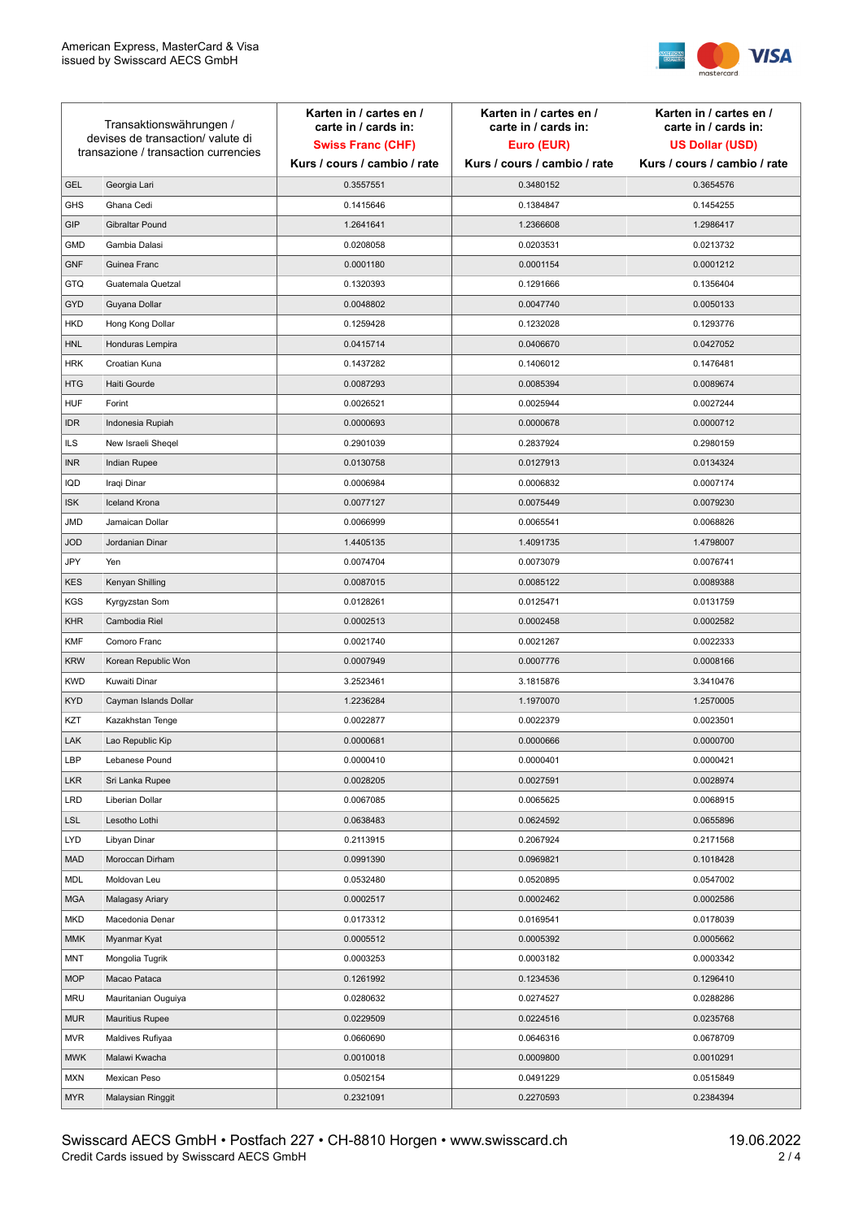

| Transaktionswährungen /<br>devises de transaction/valute di<br>transazione / transaction currencies |                        | Karten in / cartes en /<br>carte in / cards in: | Karten in / cartes en /<br>carte in / cards in: | Karten in / cartes en /<br>carte in / cards in: |
|-----------------------------------------------------------------------------------------------------|------------------------|-------------------------------------------------|-------------------------------------------------|-------------------------------------------------|
|                                                                                                     |                        | <b>Swiss Franc (CHF)</b>                        | Euro (EUR)                                      | <b>US Dollar (USD)</b>                          |
|                                                                                                     |                        | Kurs / cours / cambio / rate                    | Kurs / cours / cambio / rate                    | Kurs / cours / cambio / rate                    |
| <b>GEL</b>                                                                                          | Georgia Lari           | 0.3557551                                       | 0.3480152                                       | 0.3654576                                       |
| <b>GHS</b>                                                                                          | Ghana Cedi             | 0.1415646                                       | 0.1384847                                       | 0.1454255                                       |
| GIP                                                                                                 | Gibraltar Pound        | 1.2641641                                       | 1.2366608                                       | 1.2986417                                       |
| <b>GMD</b>                                                                                          | Gambia Dalasi          | 0.0208058                                       | 0.0203531                                       | 0.0213732                                       |
| <b>GNF</b>                                                                                          | Guinea Franc           | 0.0001180                                       | 0.0001154                                       | 0.0001212                                       |
| <b>GTQ</b>                                                                                          | Guatemala Quetzal      | 0.1320393                                       | 0.1291666                                       | 0.1356404                                       |
| GYD                                                                                                 | Guyana Dollar          | 0.0048802                                       | 0.0047740                                       | 0.0050133                                       |
| HKD                                                                                                 | Hong Kong Dollar       | 0.1259428                                       | 0.1232028                                       | 0.1293776                                       |
| <b>HNL</b>                                                                                          | Honduras Lempira       | 0.0415714                                       | 0.0406670                                       | 0.0427052                                       |
| <b>HRK</b>                                                                                          | Croatian Kuna          | 0.1437282                                       | 0.1406012                                       | 0.1476481                                       |
| <b>HTG</b>                                                                                          | Haiti Gourde           | 0.0087293                                       | 0.0085394                                       | 0.0089674                                       |
| <b>HUF</b>                                                                                          | Forint                 | 0.0026521                                       | 0.0025944                                       | 0.0027244                                       |
| <b>IDR</b>                                                                                          | Indonesia Rupiah       | 0.0000693                                       | 0.0000678                                       | 0.0000712                                       |
| <b>ILS</b>                                                                                          | New Israeli Sheqel     | 0.2901039                                       | 0.2837924                                       | 0.2980159                                       |
| <b>INR</b>                                                                                          | Indian Rupee           | 0.0130758                                       | 0.0127913                                       | 0.0134324                                       |
| IQD                                                                                                 | Iraqi Dinar            | 0.0006984                                       | 0.0006832                                       | 0.0007174                                       |
| <b>ISK</b>                                                                                          | <b>Iceland Krona</b>   | 0.0077127                                       | 0.0075449                                       | 0.0079230                                       |
| <b>JMD</b>                                                                                          | Jamaican Dollar        | 0.0066999                                       | 0.0065541                                       | 0.0068826                                       |
| <b>JOD</b>                                                                                          | Jordanian Dinar        | 1.4405135                                       | 1.4091735                                       | 1.4798007                                       |
| JPY                                                                                                 | Yen                    | 0.0074704                                       | 0.0073079                                       | 0.0076741                                       |
| <b>KES</b>                                                                                          | Kenyan Shilling        | 0.0087015                                       | 0.0085122                                       | 0.0089388                                       |
| <b>KGS</b>                                                                                          | Kyrgyzstan Som         | 0.0128261                                       | 0.0125471                                       | 0.0131759                                       |
| <b>KHR</b>                                                                                          | Cambodia Riel          | 0.0002513                                       | 0.0002458                                       | 0.0002582                                       |
| <b>KMF</b>                                                                                          | Comoro Franc           | 0.0021740                                       | 0.0021267                                       | 0.0022333                                       |
| <b>KRW</b>                                                                                          | Korean Republic Won    | 0.0007949                                       | 0.0007776                                       | 0.0008166                                       |
| <b>KWD</b>                                                                                          | Kuwaiti Dinar          | 3.2523461                                       | 3.1815876                                       | 3.3410476                                       |
| <b>KYD</b>                                                                                          | Cayman Islands Dollar  | 1.2236284                                       | 1.1970070                                       | 1.2570005                                       |
| KZT                                                                                                 | Kazakhstan Tenge       | 0.0022877                                       | 0.0022379                                       | 0.0023501                                       |
| LAK                                                                                                 | Lao Republic Kip       | 0.0000681                                       | 0.0000666                                       | 0.0000700                                       |
| LBP                                                                                                 | Lebanese Pound         | 0.0000410                                       | 0.0000401                                       | 0.0000421                                       |
| <b>LKR</b>                                                                                          | Sri Lanka Rupee        | 0.0028205                                       | 0.0027591                                       | 0.0028974                                       |
| LRD                                                                                                 | Liberian Dollar        | 0.0067085                                       | 0.0065625                                       | 0.0068915                                       |
| <b>LSL</b>                                                                                          | Lesotho Lothi          | 0.0638483                                       | 0.0624592                                       | 0.0655896                                       |
| LYD                                                                                                 | Libyan Dinar           | 0.2113915                                       | 0.2067924                                       | 0.2171568                                       |
| <b>MAD</b>                                                                                          | Moroccan Dirham        | 0.0991390                                       | 0.0969821                                       | 0.1018428                                       |
| MDL                                                                                                 | Moldovan Leu           | 0.0532480                                       | 0.0520895                                       | 0.0547002                                       |
| <b>MGA</b>                                                                                          | Malagasy Ariary        | 0.0002517                                       | 0.0002462                                       | 0.0002586                                       |
| MKD                                                                                                 | Macedonia Denar        | 0.0173312                                       | 0.0169541                                       | 0.0178039                                       |
| <b>MMK</b>                                                                                          | Myanmar Kyat           | 0.0005512                                       | 0.0005392                                       | 0.0005662                                       |
| <b>MNT</b>                                                                                          | Mongolia Tugrik        | 0.0003253                                       | 0.0003182                                       | 0.0003342                                       |
| <b>MOP</b>                                                                                          | Macao Pataca           | 0.1261992                                       | 0.1234536                                       | 0.1296410                                       |
| <b>MRU</b>                                                                                          | Mauritanian Ouguiya    | 0.0280632                                       | 0.0274527                                       | 0.0288286                                       |
| <b>MUR</b>                                                                                          | <b>Mauritius Rupee</b> | 0.0229509                                       | 0.0224516                                       | 0.0235768                                       |
| <b>MVR</b>                                                                                          | Maldives Rufiyaa       | 0.0660690                                       | 0.0646316                                       | 0.0678709                                       |
| <b>MWK</b>                                                                                          | Malawi Kwacha          | 0.0010018                                       | 0.0009800                                       | 0.0010291                                       |
| MXN                                                                                                 | Mexican Peso           | 0.0502154                                       | 0.0491229                                       | 0.0515849                                       |
| <b>MYR</b>                                                                                          | Malaysian Ringgit      | 0.2321091                                       | 0.2270593                                       | 0.2384394                                       |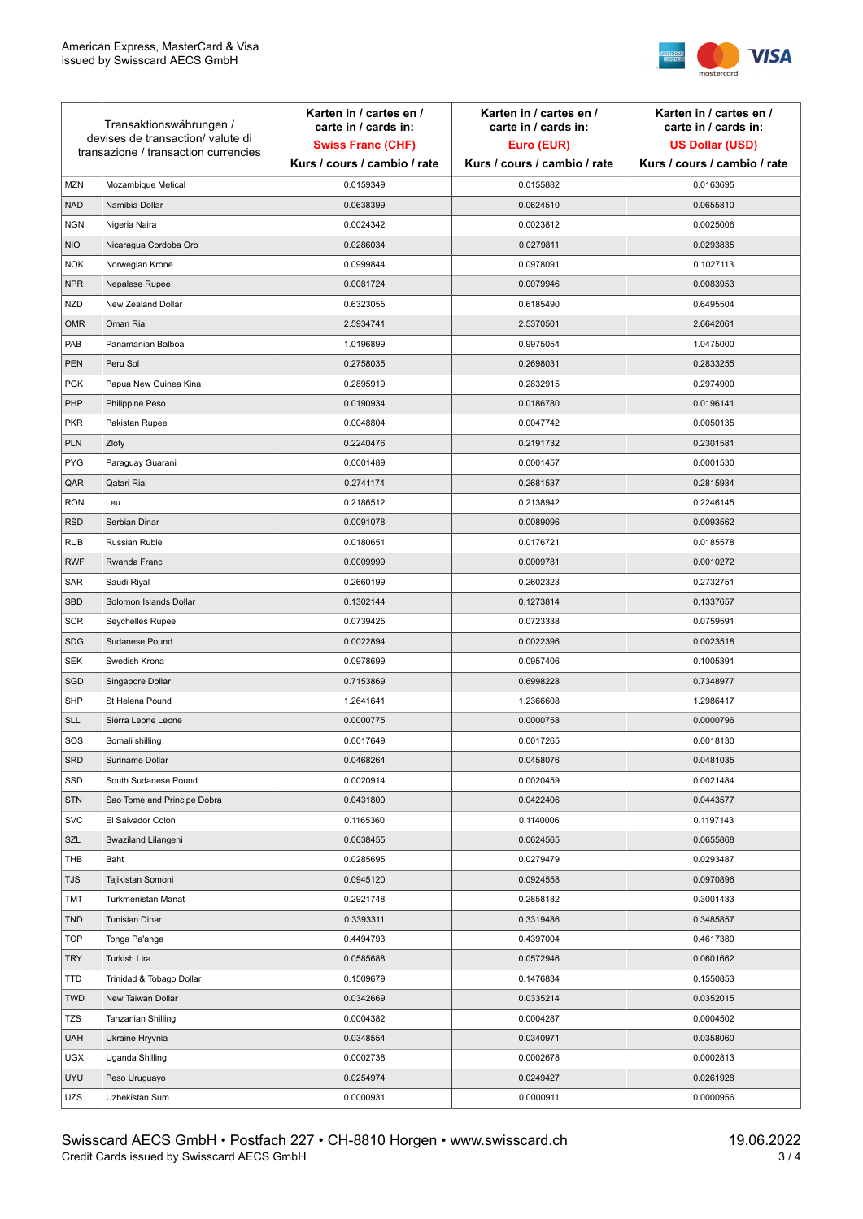

| Transaktionswährungen /<br>devises de transaction/valute di<br>transazione / transaction currencies |                             | Karten in / cartes en /<br>carte in / cards in:<br><b>Swiss Franc (CHF)</b> | Karten in / cartes en /<br>carte in / cards in:<br>Euro (EUR) | Karten in / cartes en /<br>carte in / cards in:<br><b>US Dollar (USD)</b> |
|-----------------------------------------------------------------------------------------------------|-----------------------------|-----------------------------------------------------------------------------|---------------------------------------------------------------|---------------------------------------------------------------------------|
|                                                                                                     |                             | Kurs / cours / cambio / rate                                                | Kurs / cours / cambio / rate                                  | Kurs / cours / cambio / rate                                              |
| <b>MZN</b>                                                                                          | Mozambique Metical          | 0.0159349                                                                   | 0.0155882                                                     | 0.0163695                                                                 |
| <b>NAD</b>                                                                                          | Namibia Dollar              | 0.0638399                                                                   | 0.0624510                                                     | 0.0655810                                                                 |
| <b>NGN</b>                                                                                          | Nigeria Naira               | 0.0024342                                                                   | 0.0023812                                                     | 0.0025006                                                                 |
| <b>NIO</b>                                                                                          | Nicaragua Cordoba Oro       | 0.0286034                                                                   | 0.0279811                                                     | 0.0293835                                                                 |
| <b>NOK</b>                                                                                          | Norwegian Krone             | 0.0999844                                                                   | 0.0978091                                                     | 0.1027113                                                                 |
| <b>NPR</b>                                                                                          | Nepalese Rupee              | 0.0081724                                                                   | 0.0079946                                                     | 0.0083953                                                                 |
| <b>NZD</b>                                                                                          | New Zealand Dollar          | 0.6323055                                                                   | 0.6185490                                                     | 0.6495504                                                                 |
| <b>OMR</b>                                                                                          | Oman Rial                   | 2.5934741                                                                   | 2.5370501                                                     | 2.6642061                                                                 |
| PAB                                                                                                 | Panamanian Balboa           | 1.0196899                                                                   | 0.9975054                                                     | 1.0475000                                                                 |
| <b>PEN</b>                                                                                          | Peru Sol                    | 0.2758035                                                                   | 0.2698031                                                     | 0.2833255                                                                 |
| <b>PGK</b>                                                                                          | Papua New Guinea Kina       | 0.2895919                                                                   | 0.2832915                                                     | 0.2974900                                                                 |
| PHP                                                                                                 | Philippine Peso             | 0.0190934                                                                   | 0.0186780                                                     | 0.0196141                                                                 |
| <b>PKR</b>                                                                                          | Pakistan Rupee              | 0.0048804                                                                   | 0.0047742                                                     | 0.0050135                                                                 |
| <b>PLN</b>                                                                                          | Zloty                       | 0.2240476                                                                   | 0.2191732                                                     | 0.2301581                                                                 |
| <b>PYG</b>                                                                                          | Paraguay Guarani            | 0.0001489                                                                   | 0.0001457                                                     | 0.0001530                                                                 |
| QAR                                                                                                 | Qatari Rial                 | 0.2741174                                                                   | 0.2681537                                                     | 0.2815934                                                                 |
| <b>RON</b>                                                                                          | Leu                         | 0.2186512                                                                   | 0.2138942                                                     | 0.2246145                                                                 |
| <b>RSD</b>                                                                                          | Serbian Dinar               | 0.0091078                                                                   | 0.0089096                                                     | 0.0093562                                                                 |
| <b>RUB</b>                                                                                          | Russian Ruble               | 0.0180651                                                                   | 0.0176721                                                     | 0.0185578                                                                 |
| <b>RWF</b>                                                                                          | Rwanda Franc                | 0.0009999                                                                   | 0.0009781                                                     | 0.0010272                                                                 |
| SAR                                                                                                 | Saudi Riyal                 | 0.2660199                                                                   | 0.2602323                                                     | 0.2732751                                                                 |
| <b>SBD</b>                                                                                          | Solomon Islands Dollar      | 0.1302144                                                                   | 0.1273814                                                     | 0.1337657                                                                 |
| <b>SCR</b>                                                                                          | Seychelles Rupee            | 0.0739425                                                                   | 0.0723338                                                     | 0.0759591                                                                 |
| <b>SDG</b>                                                                                          | Sudanese Pound              | 0.0022894                                                                   | 0.0022396                                                     | 0.0023518                                                                 |
| <b>SEK</b>                                                                                          | Swedish Krona               | 0.0978699                                                                   | 0.0957406                                                     | 0.1005391                                                                 |
| SGD                                                                                                 | Singapore Dollar            | 0.7153869                                                                   | 0.6998228                                                     | 0.7348977                                                                 |
| <b>SHP</b>                                                                                          | St Helena Pound             | 1.2641641                                                                   | 1.2366608                                                     | 1.2986417                                                                 |
| <b>SLL</b>                                                                                          | Sierra Leone Leone          | 0.0000775                                                                   | 0.0000758                                                     | 0.0000796                                                                 |
| SOS                                                                                                 | Somali shilling             | 0.0017649                                                                   | 0.0017265                                                     | 0.0018130                                                                 |
| SRD                                                                                                 | Suriname Dollar             | 0.0468264                                                                   | 0.0458076                                                     | 0.0481035                                                                 |
| SSD                                                                                                 | South Sudanese Pound        | 0.0020914                                                                   | 0.0020459                                                     | 0.0021484                                                                 |
| <b>STN</b>                                                                                          | Sao Tome and Principe Dobra | 0.0431800                                                                   | 0.0422406                                                     | 0.0443577                                                                 |
| <b>SVC</b>                                                                                          | El Salvador Colon           | 0.1165360                                                                   | 0.1140006                                                     | 0.1197143                                                                 |
| SZL                                                                                                 | Swaziland Lilangeni         | 0.0638455                                                                   | 0.0624565                                                     | 0.0655868                                                                 |
| THB                                                                                                 | Baht                        | 0.0285695                                                                   | 0.0279479                                                     | 0.0293487                                                                 |
| TJS                                                                                                 | Tajikistan Somoni           | 0.0945120                                                                   | 0.0924558                                                     | 0.0970896                                                                 |
| <b>TMT</b>                                                                                          | Turkmenistan Manat          | 0.2921748                                                                   | 0.2858182                                                     | 0.3001433                                                                 |
| <b>TND</b>                                                                                          | <b>Tunisian Dinar</b>       | 0.3393311                                                                   | 0.3319486                                                     | 0.3485857                                                                 |
| <b>TOP</b>                                                                                          | Tonga Pa'anga               | 0.4494793                                                                   | 0.4397004                                                     | 0.4617380                                                                 |
| <b>TRY</b>                                                                                          | Turkish Lira                | 0.0585688                                                                   | 0.0572946                                                     | 0.0601662                                                                 |
| TTD                                                                                                 | Trinidad & Tobago Dollar    | 0.1509679                                                                   | 0.1476834                                                     | 0.1550853                                                                 |
| <b>TWD</b>                                                                                          | New Taiwan Dollar           | 0.0342669                                                                   | 0.0335214                                                     | 0.0352015                                                                 |
| <b>TZS</b>                                                                                          | Tanzanian Shilling          | 0.0004382                                                                   | 0.0004287                                                     | 0.0004502                                                                 |
| <b>UAH</b>                                                                                          | Ukraine Hryvnia             | 0.0348554                                                                   | 0.0340971                                                     | 0.0358060                                                                 |
| <b>UGX</b>                                                                                          | Uganda Shilling             | 0.0002738                                                                   | 0.0002678                                                     | 0.0002813                                                                 |
| <b>UYU</b>                                                                                          | Peso Uruguayo               | 0.0254974                                                                   | 0.0249427                                                     | 0.0261928                                                                 |
| UZS                                                                                                 | Uzbekistan Sum              | 0.0000931                                                                   | 0.0000911                                                     | 0.0000956                                                                 |